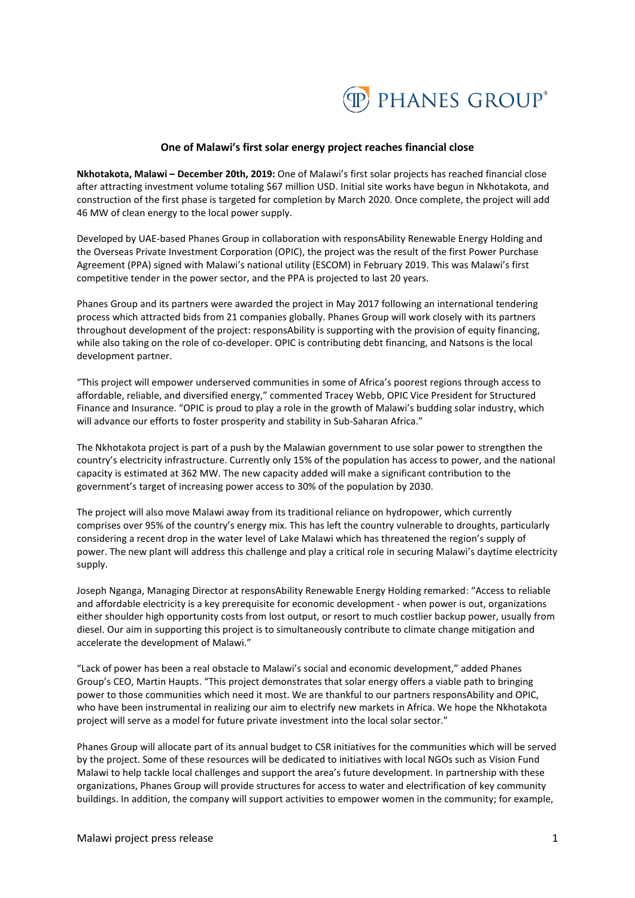

## **One of Malawi's first solar energy project reaches financial close**

**Nkhotakota, Malawi – December 20th, 2019:** One of Malawi's first solar projects has reached financial close after attracting investment volume totaling \$67 million USD. Initial site works have begun in Nkhotakota, and construction of the first phase is targeted for completion by March 2020. Once complete, the project will add 46 MW of clean energy to the local power supply.

Developed by UAE-based Phanes Group in collaboration with responsAbility Renewable Energy Holding and the Overseas Private Investment Corporation (OPIC), the project was the result of the first Power Purchase Agreement (PPA) signed with Malawi's national utility (ESCOM) in February 2019. This was Malawi's first competitive tender in the power sector, and the PPA is projected to last 20 years.

Phanes Group and its partners were awarded the project in May 2017 following an international tendering process which attracted bids from 21 companies globally. Phanes Group will work closely with its partners throughout development of the project: responsAbility is supporting with the provision of equity financing, while also taking on the role of co-developer. OPIC is contributing debt financing, and Natsons is the local development partner.

"This project will empower underserved communities in some of Africa's poorest regions through access to affordable, reliable, and diversified energy," commented Tracey Webb, OPIC Vice President for Structured Finance and Insurance. "OPIC is proud to play a role in the growth of Malawi's budding solar industry, which will advance our efforts to foster prosperity and stability in Sub-Saharan Africa."

The Nkhotakota project is part of a push by the Malawian government to use solar power to strengthen the country's electricity infrastructure. Currently only 15% of the population has access to power, and the national capacity is estimated at 362 MW. The new capacity added will make a significant contribution to the government's target of increasing power access to 30% of the population by 2030.

The project will also move Malawi away from its traditional reliance on hydropower, which currently comprises over 95% of the country's energy mix. This has left the country vulnerable to droughts, particularly considering a recent drop in the water level of Lake Malawi which has threatened the region's supply of power. The new plant will address this challenge and play a critical role in securing Malawi's daytime electricity supply.

Joseph Nganga, Managing Director at responsAbility Renewable Energy Holding remarked: "Access to reliable and affordable electricity is a key prerequisite for economic development - when power is out, organizations either shoulder high opportunity costs from lost output, or resort to much costlier backup power, usually from diesel. Our aim in supporting this project is to simultaneously contribute to climate change mitigation and accelerate the development of Malawi."

"Lack of power has been a real obstacle to Malawi's social and economic development," added Phanes Group's CEO, Martin Haupts. "This project demonstrates that solar energy offers a viable path to bringing power to those communities which need it most. We are thankful to our partners responsAbility and OPIC, who have been instrumental in realizing our aim to electrify new markets in Africa. We hope the Nkhotakota project will serve as a model for future private investment into the local solar sector."

Phanes Group will allocate part of its annual budget to CSR initiatives for the communities which will be served by the project. Some of these resources will be dedicated to initiatives with local NGOs such as Vision Fund Malawi to help tackle local challenges and support the area's future development. In partnership with these organizations, Phanes Group will provide structures for access to water and electrification of key community buildings. In addition, the company will support activities to empower women in the community; for example,